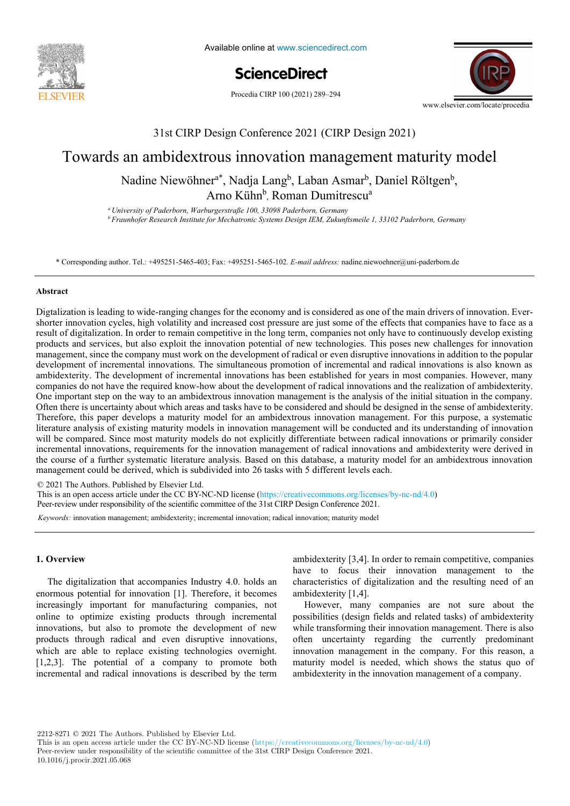

Available online at www.sciencedirect.com



Procedia CIRP 100 (2021) 289-294



## 31st CIRP Design Conference 2021 (CIRP Design 2021) 31st CIRP Design Conference 2021 (CIRP Design 2021)

# Towards an ambidextrous innovation management maturity model

Arno Kühn<sup>b</sup>, Roman Dumitrescu<sup>a</sup> Nadine Niewöhner<sup>a\*</sup>, Nadja Lang<sup>b</sup>, Laban Asmar<sup>b</sup>, Daniel Röltgen<sup>b</sup>,

<sup>a</sup> University of Paderborn, Warburgerstraße 100, 33098 Paderborn, Germany Entretsity of Paterborn, warbargerstrape 100, 99090 Paterborn, Germany<br><sup>b</sup> Fraunhofer Research Institute for Mechatronic Systems Design IEM, Zukunftsmeile 1, 33102 Paderborn, Germany

\* Corresponding author. Tel.: +495251-5465-403; Fax: +495251-5465-102. E-mail address: nadine.niewoehner@uni-paderborn.de

### **Abstract Abstract**

shorter innovation cycles, high volatility and increased cost pressure are just some of the effects that companies have to face as a products and services, but also exploit the innovation potential of new technologies. This poses new challenges for innovation management, since the company must work on the development of radical or even disruptive innovations in addition to the popular development of incremental innovations. The simultaneous promotion of incremental and radical innovations is also known as ambidexterity. The development of incremental innovations has been established for years in most companies. However, many companies do not have the required know-how about the development of radical innovations and the realization of ambidexterity. One important step on the way to an ambidextrous innovation management is the analysis of the initial situation in the company. Often there is uncertainty about which areas and tasks have to be considered and should be designed in the sense of ambidexterity. Therefore, this paper develops a maturity model for an ambidextrous innovation management. For this purpose, a systematic literature analysis of existing maturity models in innovation management will be conducted and its understanding of innovation will be compared. Since most maturity models do not explicitly differentiate between radical innovations or primarily consider incremental innovations, requirements for the innovation management of radical innovations and ambidexterity were derived in the course of a further systematic literature analysis. Based on this database, a maturity model for an ambidextrous innovation management could be derived, which is subdivided into 26 tasks with 5 different levels each. Digtalization is leading to wide-ranging changes for the economy and is considered as one of the main drivers of innovation. Everresult of digitalization. In order to remain competitive in the long term, companies not only have to continuously develop existing

Peer-review under responsibility of the scientific committee of the 28th CIRP Design Conference 2018. © 2021 The Authors. Published by Elsevier Ltd. © 2021 The Authors. Published by Elsevier Ltd.

Peer-review under responsibility of the scientific committee of the 31st CIRP Design Conference 2021. This is an open access article under the CC BY-NC-ND license (https://creativecommons.org/licenses/by-nc-nd/4.0)

*Keywords:* innovation management; ambidexterity; incremental innovation; radical innovation; maturity model *Keywords:* innovation management; ambidexterity; incremental innovation; radical innovation; maturity model

#### $\sum$  to the fast development in the domain of domain of  $\sum_{i=1}^n a_i$ **1. Overview 1. Overview**

The digitalization that accompanies Industry 4.0. holds an enormous potential for innovation [1]. Therefore, it becomes enormous potential for minovation [1]. Therefore, it becomes<br>increasingly important for manufacturing companies, not necessarily important for manufacturing companies, necessarily important to manufacturing companies, necessarily innovations, but also to promote the development of new mis values, but also to promote the development of hew products through radical and even disruptive innovations, products all output and over the which with the water of the which are able to replace existing technologies overnight. which is inducing the development from macro to micro [1,2,3]. The potential of a company to promote both [1,2,3]. The potential of a company to promote both  $\left[1,2,0\right]$ . The potential of a company to promote conincremental and radical innovations is described by the term increasingly important for manufacturing companies, not ambidexterity [3,4]. In order to remain competitive, companies  $h$ and and analysis is not only to compare to the have to focus their innovation management to the  $h$ characteristics of digitalization and the resulting need of an characteristics of digitalization and the resulting need of an but ambidexterity [1,4].

 $\frac{1}{2}$  However, many companies are not sure about the  $\frac{1}{2}$ possibilities (design fields and related tasks) of ambidexterity possibilities possionities (assign from an education management. There is also while transforming their innovation management. There is also while transforming then into valued management. There is also often uncertainty regarding the currently predominant innovation management in the company. For this reason, a innovation management in the company. For this reason, a maturity model is needed, which shows the status quo of classical methodology which enough the states que exambidexterity in the innovation management of a company.

2212-8271 © 2021 The Authors. Published by Elsevier Ltd.

This is an open access article under the CC BY-NC-ND license (https://creativecommons.org/licenses/by-nc-nd/4.0)

Peer-review under responsibility of the scientific committee of the 31st CIRP Design Conference 2021.

10.1016/j.procir.2021.05.068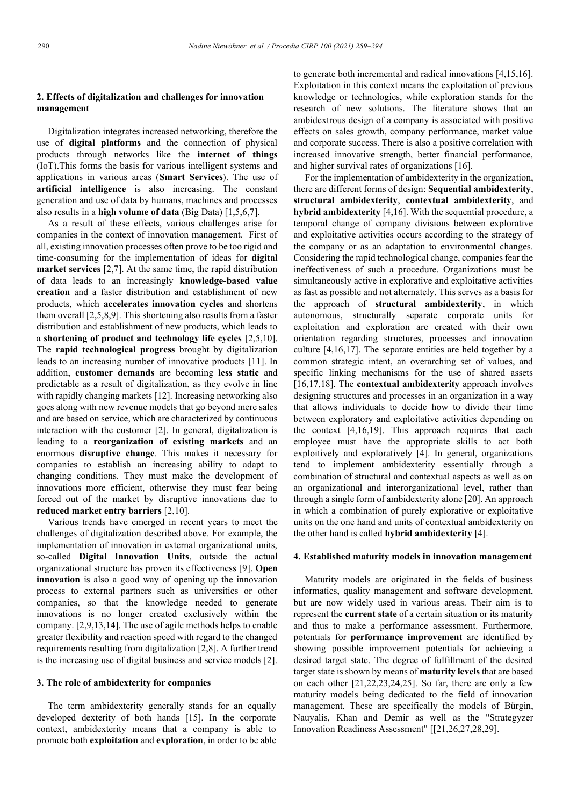#### **2. Effects of digitalization and challenges for innovation management**

Digitalization integrates increased networking, therefore the use of **digital platforms** and the connection of physical products through networks like the **internet of things** (IoT).This forms the basis for various intelligent systems and applications in various areas (**Smart Services**). The use of **artificial intelligence** is also increasing. The constant generation and use of data by humans, machines and processes also results in a **high volume of data** (Big Data) [1,5,6,7].

As a result of these effects, various challenges arise for companies in the context of innovation management. First of all, existing innovation processes often prove to be too rigid and time-consuming for the implementation of ideas for **digital market services** [2,7]. At the same time, the rapid distribution of data leads to an increasingly **knowledge-based value creation** and a faster distribution and establishment of new products, which **accelerates innovation cycles** and shortens them overall [2,5,8,9]. This shortening also results from a faster distribution and establishment of new products, which leads to a **shortening of product and technology life cycles** [2,5,10]. The **rapid technological progress** brought by digitalization leads to an increasing number of innovative products [11]. In addition, **customer demands** are becoming **less static** and predictable as a result of digitalization, as they evolve in line with rapidly changing markets [12]. Increasing networking also goes along with new revenue models that go beyond mere sales and are based on service, which are characterized by continuous interaction with the customer [2]. In general, digitalization is leading to a **reorganization of existing markets** and an enormous **disruptive change**. This makes it necessary for companies to establish an increasing ability to adapt to changing conditions. They must make the development of innovations more efficient, otherwise they must fear being forced out of the market by disruptive innovations due to **reduced market entry barriers** [2,10].

Various trends have emerged in recent years to meet the challenges of digitalization described above. For example, the implementation of innovation in external organizational units, so-called **Digital Innovation Units**, outside the actual organizational structure has proven its effectiveness [9]. **Open innovation** is also a good way of opening up the innovation process to external partners such as universities or other companies, so that the knowledge needed to generate innovations is no longer created exclusively within the company. [2,9,13,14]. The use of agile methods helps to enable greater flexibility and reaction speed with regard to the changed requirements resulting from digitalization [2,8]. A further trend is the increasing use of digital business and service models [2].

#### **3. The role of ambidexterity for companies**

The term ambidexterity generally stands for an equally developed dexterity of both hands [15]. In the corporate context, ambidexterity means that a company is able to promote both **exploitation** and **exploration**, in order to be able to generate both incremental and radical innovations [4,15,16]. Exploitation in this context means the exploitation of previous knowledge or technologies, while exploration stands for the research of new solutions. The literature shows that an ambidextrous design of a company is associated with positive effects on sales growth, company performance, market value and corporate success. There is also a positive correlation with increased innovative strength, better financial performance, and higher survival rates of organizations [16].

For the implementation of ambidexterity in the organization, there are different forms of design: **Sequential ambidexterity**, **structural ambidexterity**, **contextual ambidexterity**, and **hybrid ambidexterity** [4,16]. With the sequential procedure, a temporal change of company divisions between explorative and exploitative activities occurs according to the strategy of the company or as an adaptation to environmental changes. Considering the rapid technological change, companies fear the ineffectiveness of such a procedure. Organizations must be simultaneously active in explorative and exploitative activities as fast as possible and not alternately. This serves as a basis for the approach of **structural ambidexterity**, in which autonomous, structurally separate corporate units for exploitation and exploration are created with their own orientation regarding structures, processes and innovation culture [4,16,17]. The separate entities are held together by a common strategic intent, an overarching set of values, and specific linking mechanisms for the use of shared assets [16,17,18]. The **contextual ambidexterity** approach involves designing structures and processes in an organization in a way that allows individuals to decide how to divide their time between exploratory and exploitative activities depending on the context [4,16,19]. This approach requires that each employee must have the appropriate skills to act both exploitively and exploratively [4]. In general, organizations tend to implement ambidexterity essentially through a combination of structural and contextual aspects as well as on an organizational and interorganizational level, rather than through a single form of ambidexterity alone [20]. An approach in which a combination of purely explorative or exploitative units on the one hand and units of contextual ambidexterity on the other hand is called **hybrid ambidexterity** [4].

#### **4. Established maturity models in innovation management**

Maturity models are originated in the fields of business informatics, quality management and software development, but are now widely used in various areas. Their aim is to represent the **current state** of a certain situation or its maturity and thus to make a performance assessment. Furthermore, potentials for **performance improvement** are identified by showing possible improvement potentials for achieving a desired target state. The degree of fulfillment of the desired target state is shown by means of **maturity levels** that are based on each other [21,22,23,24,25]. So far, there are only a few maturity models being dedicated to the field of innovation management. These are specifically the models of Bürgin, Nauyalis, Khan and Demir as well as the "Strategyzer Innovation Readiness Assessment" [[21,26,27,28,29].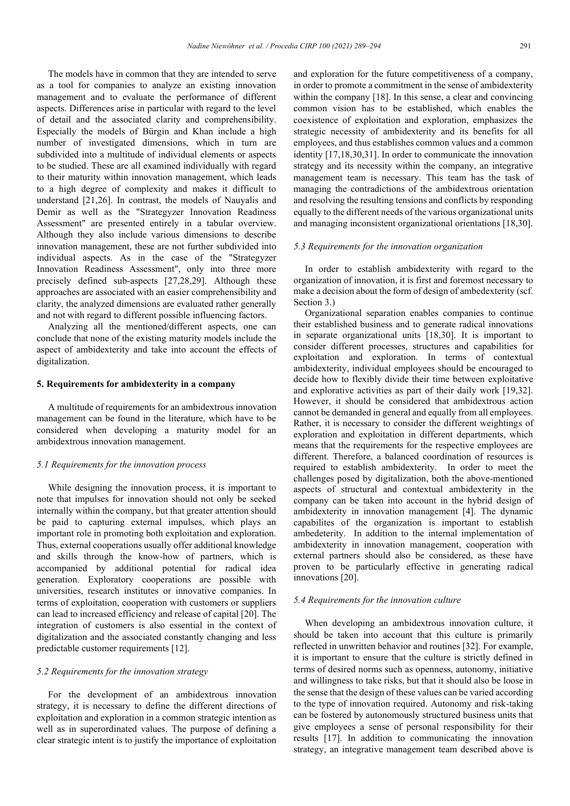The models have in common that they are intended to serve as a tool for companies to analyze an existing innovation management and to evaluate the performance of different aspects. Differences arise in particular with regard to the level of detail and the associated clarity and comprehensibility. Especially the models of Bürgin and Khan include a high number of investigated dimensions, which in turn are subdivided into a multitude of individual elements or aspects to be studied. These are all examined individually with regard to their maturity within innovation management, which leads to a high degree of complexity and makes it difficult to understand [21,26]. In contrast, the models of Nauyalis and Demir as well as the "Strategyzer Innovation Readiness Assessment" are presented entirely in a tabular overview. Although they also include various dimensions to describe innovation management, these are not further subdivided into individual aspects. As in the case of the "Strategyzer Innovation Readiness Assessment", only into three more precisely defined sub-aspects [27,28,29]. Although these approaches are associated with an easier comprehensibility and clarity, the analyzed dimensions are evaluated rather generally and not with regard to different possible influencing factors.

Analyzing all the mentioned/different aspects, one can conclude that none of the existing maturity models include the aspect of ambidexterity and take into account the effects of digitalization.

#### **5. Requirements for ambidexterity in a company**

A multitude of requirements for an ambidextrous innovation management can be found in the literature, which have to be considered when developing a maturity model for an ambidextrous innovation management.

#### *5.1 Requirements for the innovation process*

While designing the innovation process, it is important to note that impulses for innovation should not only be seeked internally within the company, but that greater attention should be paid to capturing external impulses, which plays an important role in promoting both exploitation and exploration. Thus, external cooperations usually offer additional knowledge and skills through the know-how of partners, which is accompanied by additional potential for radical idea generation. Exploratory cooperations are possible with universities, research institutes or innovative companies. In terms of exploitation, cooperation with customers or suppliers can lead to increased efficiency and release of capital [20]. The integration of customers is also essential in the context of digitalization and the associated constantly changing and less predictable customer requirements [12].

#### *5.2 Requirements for the innovation strategy*

For the development of an ambidextrous innovation strategy, it is necessary to define the different directions of exploitation and exploration in a common strategic intention as well as in superordinated values. The purpose of defining a clear strategic intent is to justify the importance of exploitation

and exploration for the future competitiveness of a company, in order to promote a commitment in the sense of ambidexterity within the company [18]. In this sense, a clear and convincing common vision has to be established, which enables the coexistence of exploitation and exploration, emphasizes the strategic necessity of ambidexterity and its benefits for all employees, and thus establishes common values and a common identity [17,18,30,31]. In order to communicate the innovation strategy and its necessity within the company, an integrative management team is necessary. This team has the task of managing the contradictions of the ambidextrous orientation and resolving the resulting tensions and conflicts by responding equally to the different needs of the various organizational units and managing inconsistent organizational orientations [18,30].

#### *5.3 Requirements for the innovation organization*

In order to establish ambidexterity with regard to the organization of innovation, it is first and foremost necessary to make a decision about the form of design of ambedexterity (scf. Section 3.)

Organizational separation enables companies to continue their established business and to generate radical innovations in separate organizational units [18,30]. It is important to consider different processes, structures and capabilities for exploitation and exploration. In terms of contextual ambidexterity, individual employees should be encouraged to decide how to flexibly divide their time between exploitative and explorative activities as part of their daily work [19,32]. However, it should be considered that ambidextrous action cannot be demanded in general and equally from all employees. Rather, it is necessary to consider the different weightings of exploration and exploitation in different departments, which means that the requirements for the respective employees are different. Therefore, a balanced coordination of resources is required to establish ambidexterity. In order to meet the challenges posed by digitalization, both the above-mentioned aspects of structural and contextual ambidexterity in the company can be taken into account in the hybrid design of ambidexterity in innovation management [4]. The dynamic capabilites of the organization is important to establish ambedeterity. In addition to the internal implementation of ambidexterity in innovation management, cooperation with external partners should also be considered, as these have proven to be particularly effective in generating radical innovations [20].

#### *5.4 Requirements for the innovation culture*

When developing an ambidextrous innovation culture, it should be taken into account that this culture is primarily reflected in unwritten behavior and routines [32]. For example, it is important to ensure that the culture is strictly defined in terms of desired norms such as openness, autonomy, initiative and willingness to take risks, but that it should also be loose in the sense that the design of these values can be varied according to the type of innovation required. Autonomy and risk-taking can be fostered by autonomously structured business units that give employees a sense of personal responsibility for their results [17]. In addition to communicating the innovation strategy, an integrative management team described above is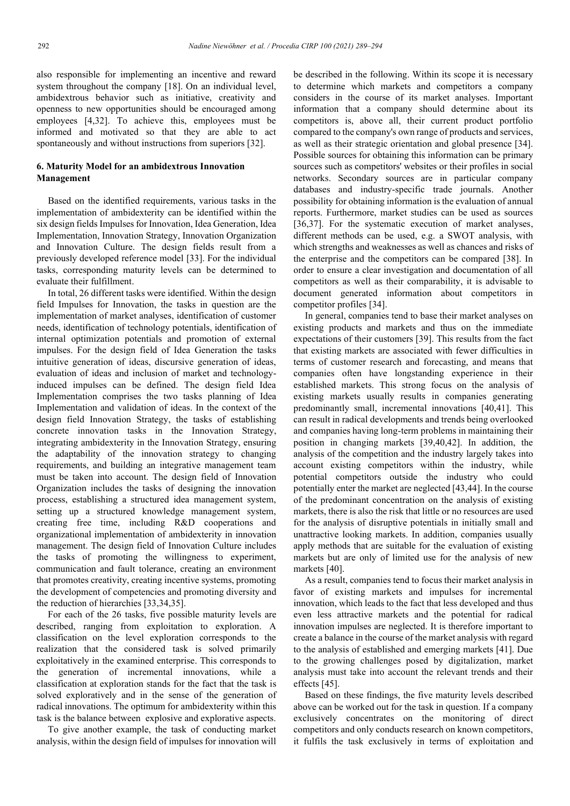also responsible for implementing an incentive and reward system throughout the company [18]. On an individual level, ambidextrous behavior such as initiative, creativity and openness to new opportunities should be encouraged among employees [4,32]. To achieve this, employees must be informed and motivated so that they are able to act spontaneously and without instructions from superiors [32].

#### **6. Maturity Model for an ambidextrous Innovation Management**

Based on the identified requirements, various tasks in the implementation of ambidexterity can be identified within the six design fields Impulses for Innovation, Idea Generation, Idea Implementation, Innovation Strategy, Innovation Organization and Innovation Culture. The design fields result from a previously developed reference model [33]. For the individual tasks, corresponding maturity levels can be determined to evaluate their fulfillment.

In total, 26 different tasks were identified. Within the design field Impulses for Innovation, the tasks in question are the implementation of market analyses, identification of customer needs, identification of technology potentials, identification of internal optimization potentials and promotion of external impulses. For the design field of Idea Generation the tasks intuitive generation of ideas, discursive generation of ideas, evaluation of ideas and inclusion of market and technologyinduced impulses can be defined. The design field Idea Implementation comprises the two tasks planning of Idea Implementation and validation of ideas. In the context of the design field Innovation Strategy, the tasks of establishing concrete innovation tasks in the Innovation Strategy, integrating ambidexterity in the Innovation Strategy, ensuring the adaptability of the innovation strategy to changing requirements, and building an integrative management team must be taken into account. The design field of Innovation Organization includes the tasks of designing the innovation process, establishing a structured idea management system, setting up a structured knowledge management system, creating free time, including R&D cooperations and organizational implementation of ambidexterity in innovation management. The design field of Innovation Culture includes the tasks of promoting the willingness to experiment, communication and fault tolerance, creating an environment that promotes creativity, creating incentive systems, promoting the development of competencies and promoting diversity and the reduction of hierarchies [33,34,35].

For each of the 26 tasks, five possible maturity levels are described, ranging from exploitation to exploration. A classification on the level exploration corresponds to the realization that the considered task is solved primarily exploitatively in the examined enterprise. This corresponds to the generation of incremental innovations, while a classification at exploration stands for the fact that the task is solved exploratively and in the sense of the generation of radical innovations. The optimum for ambidexterity within this task is the balance between explosive and explorative aspects.

To give another example, the task of conducting market analysis, within the design field of impulses for innovation will

be described in the following. Within its scope it is necessary to determine which markets and competitors a company considers in the course of its market analyses. Important information that a company should determine about its competitors is, above all, their current product portfolio compared to the company's own range of products and services, as well as their strategic orientation and global presence [34]. Possible sources for obtaining this information can be primary sources such as competitors' websites or their profiles in social networks. Secondary sources are in particular company databases and industry-specific trade journals. Another possibility for obtaining information is the evaluation of annual reports. Furthermore, market studies can be used as sources [36,37]. For the systematic execution of market analyses, different methods can be used, e.g. a SWOT analysis, with which strengths and weaknesses as well as chances and risks of the enterprise and the competitors can be compared [38]. In order to ensure a clear investigation and documentation of all competitors as well as their comparability, it is advisable to document generated information about competitors in competitor profiles [34].

In general, companies tend to base their market analyses on existing products and markets and thus on the immediate expectations of their customers [39]. This results from the fact that existing markets are associated with fewer difficulties in terms of customer research and forecasting, and means that companies often have longstanding experience in their established markets. This strong focus on the analysis of existing markets usually results in companies generating predominantly small, incremental innovations [40,41]. This can result in radical developments and trends being overlooked and companies having long-term problems in maintaining their position in changing markets [39,40,42]. In addition, the analysis of the competition and the industry largely takes into account existing competitors within the industry, while potential competitors outside the industry who could potentially enter the market are neglected [43,44]. In the course of the predominant concentration on the analysis of existing markets, there is also the risk that little or no resources are used for the analysis of disruptive potentials in initially small and unattractive looking markets. In addition, companies usually apply methods that are suitable for the evaluation of existing markets but are only of limited use for the analysis of new markets [40].

As a result, companies tend to focus their market analysis in favor of existing markets and impulses for incremental innovation, which leads to the fact that less developed and thus even less attractive markets and the potential for radical innovation impulses are neglected. It is therefore important to create a balance in the course of the market analysis with regard to the analysis of established and emerging markets [41]. Due to the growing challenges posed by digitalization, market analysis must take into account the relevant trends and their effects [45].

Based on these findings, the five maturity levels described above can be worked out for the task in question. If a company exclusively concentrates on the monitoring of direct competitors and only conducts research on known competitors, it fulfils the task exclusively in terms of exploitation and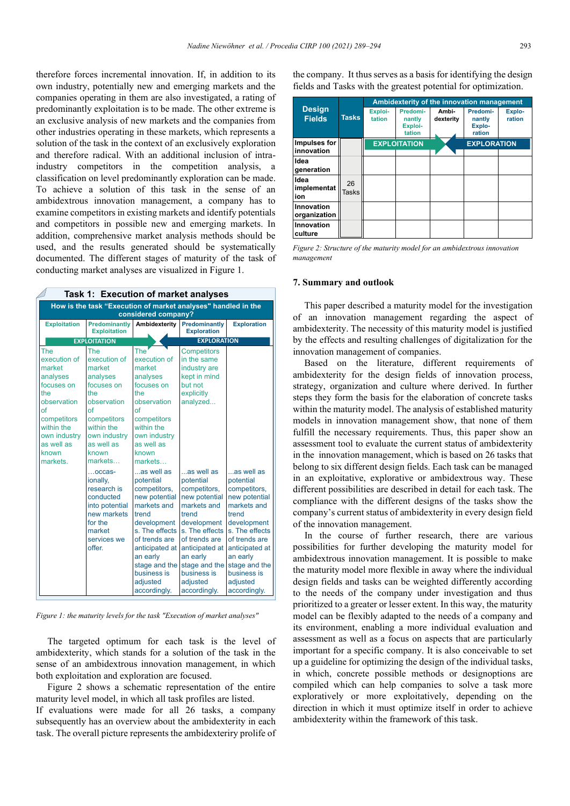therefore forces incremental innovation. If, in addition to its own industry, potentially new and emerging markets and the companies operating in them are also investigated, a rating of predominantly exploitation is to be made. The other extreme is an exclusive analysis of new markets and the companies from other industries operating in these markets, which represents a solution of the task in the context of an exclusively exploration and therefore radical. With an additional inclusion of intraindustry competitors in the competition analysis, a classification on level predominantly exploration can be made. To achieve a solution of this task in the sense of an ambidextrous innovation management, a company has to examine competitors in existing markets and identify potentials and competitors in possible new and emerging markets. In addition, comprehensive market analysis methods should be used, and the results generated should be systematically documented. The different stages of maturity of the task of conducting market analyses are visualized in Figure 1.

*Figure 1: the maturity levels for the task "Execution of market analyses"*

The targeted optimum for each task is the level of ambidexterity, which stands for a solution of the task in the sense of an ambidextrous innovation management, in which both exploitation and exploration are focused.

Figure 2 shows a schematic representation of the entire maturity level model, in which all task profiles are listed. If evaluations were made for all 26 tasks, a company subsequently has an overview about the ambidexterity in each task. The overall picture represents the ambidexteriry prolife of the company. It thus serves as a basis for identifying the design fields and Tasks with the greatest potential for optimization.

| <b>Design</b><br><b>Fields</b> | <b>Tasks</b> | Ambidexterity of the innovation management |                                         |                    |                                        |                  |
|--------------------------------|--------------|--------------------------------------------|-----------------------------------------|--------------------|----------------------------------------|------------------|
|                                |              | Exploi-<br>tation                          | Predomi-<br>nantly<br>Exploi-<br>tation | Ambi-<br>dexterity | Predomi-<br>nantly<br>Explo-<br>ration | Explo-<br>ration |
| Impulses for<br>innovation     |              | <b>EXPLOITATION</b>                        |                                         |                    | <b>EXPLORATION</b>                     |                  |
| Idea<br>generation             |              |                                            |                                         |                    |                                        |                  |
| Idea<br>implementat<br>ion     | 26<br>Tasks  |                                            |                                         |                    |                                        |                  |
| Innovation<br>organization     |              |                                            |                                         |                    |                                        |                  |
| Innovation<br>culture          |              |                                            |                                         |                    |                                        |                  |

*Figure 2: Structure of the maturity model for an ambidextrous innovation management*

#### **7. Summary and outlook**

This paper described a maturity model for the investigation of an innovation management regarding the aspect of ambidexterity. The necessity of this maturity model is justified by the effects and resulting challenges of digitalization for the innovation management of companies.

Based on the literature, different requirements of ambidexterity for the design fields of innovation process, strategy, organization and culture where derived. In further steps they form the basis for the elaboration of concrete tasks within the maturity model. The analysis of established maturity models in innovation management show, that none of them fulfill the necessary requirements. Thus, this paper show an assessment tool to evaluate the current status of ambidexterity in the innovation management, which is based on 26 tasks that belong to six different design fields. Each task can be managed in an exploitative, explorative or ambidextrous way. These different possibilities are described in detail for each task. The compliance with the different designs of the tasks show the company's current status of ambidexterity in every design field of the innovation management.

In the course of further research, there are various possibilities for further developing the maturity model for ambidextrous innovation management. It is possible to make the maturity model more flexible in away where the individual design fields and tasks can be weighted differently according to the needs of the company under investigation and thus prioritized to a greater or lesser extent. In this way, the maturity model can be flexibly adapted to the needs of a company and its environment, enabling a more individual evaluation and assessment as well as a focus on aspects that are particularly important for a specific company. It is also conceivable to set up a guideline for optimizing the design of the individual tasks, in which, concrete possible methods or designoptions are compiled which can help companies to solve a task more exploratively or more exploitatively, depending on the direction in which it must optimize itself in order to achieve ambidexterity within the framework of this task.